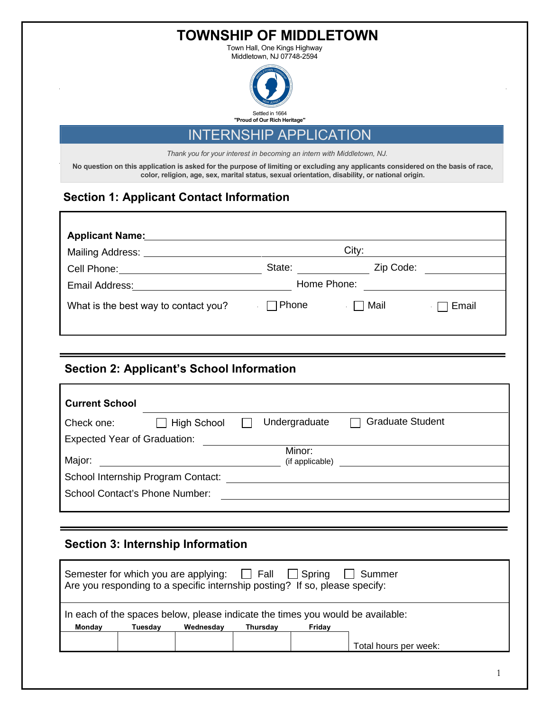**TOWNSHIP OF MIDDLETOWN**

Town Hall, One Kings Highway Middletown, NJ 07748-2594



INTERNSHIP APPLICATION

*Thank you for your interest in becoming an intern with Middletown, NJ.*

**No question on this application is asked for the purpose of limiting or excluding any applicants considered on the basis of race, color, religion, age, sex, marital status, sexual orientation, disability, or national origin.**

## **Section 1: Applicant Contact Information**

| <b>Applicant Name:</b>                     |                   |                 |         |
|--------------------------------------------|-------------------|-----------------|---------|
| Mailing Address: ____                      |                   | City:           |         |
| Cell Phone: <u>Call Andrew Cell Phone:</u> | State:            | Zip Code:       |         |
| Email Address:                             | Home Phone:       |                 |         |
| What is the best way to contact you?       | $\sqsupset$ Phone | <b>∴ □ Mail</b> | ∏ Email |

# **Section 2: Applicant's School Information**

| <b>Current School</b>               |                    |  |                           |                         |
|-------------------------------------|--------------------|--|---------------------------|-------------------------|
| Check one:                          | <b>High School</b> |  | Undergraduate             | <b>Graduate Student</b> |
| <b>Expected Year of Graduation:</b> |                    |  |                           |                         |
| Major:                              |                    |  | Minor:<br>(if applicable) |                         |
| School Internship Program Contact:  |                    |  |                           |                         |
| School Contact's Phone Number:      |                    |  |                           |                         |
|                                     |                    |  |                           |                         |

## **Section 3: Internship Information**

| Semester for which you are applying: $\Box$ Fall<br>$\Box$ Spring<br>Summer<br>Are you responding to a specific internship posting? If so, please specify: |         |           |          |        |                       |
|------------------------------------------------------------------------------------------------------------------------------------------------------------|---------|-----------|----------|--------|-----------------------|
| In each of the spaces below, please indicate the times you would be available:                                                                             |         |           |          |        |                       |
| Monday                                                                                                                                                     | Tuesdav | Wednesdav | Thursdav | Friday |                       |
|                                                                                                                                                            |         |           |          |        | Total hours per week: |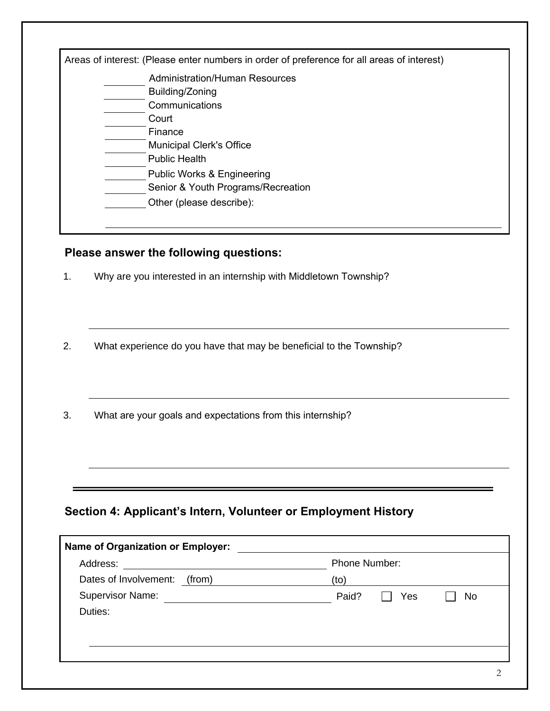| Areas of interest: (Please enter numbers in order of preference for all areas of interest) |
|--------------------------------------------------------------------------------------------|
| Administration/Human Resources                                                             |
| Building/Zoning                                                                            |
| Communications                                                                             |
| Court                                                                                      |
| Finance                                                                                    |
| <b>Municipal Clerk's Office</b>                                                            |
| <b>Public Health</b>                                                                       |
| <b>Public Works &amp; Engineering</b>                                                      |
| Senior & Youth Programs/Recreation                                                         |
| Other (please describe):                                                                   |
|                                                                                            |

### **Please answer the following questions:**

- 1. Why are you interested in an internship with Middletown Township?
- 2. What experience do you have that may be beneficial to the Township?
- 3. What are your goals and expectations from this internship?

# **Section 4: Applicant's Intern, Volunteer or Employment History**

| Address:                     | Phone Number:      |
|------------------------------|--------------------|
| Dates of Involvement: (from) | (to)               |
| <b>Supervisor Name:</b>      | Paid?<br>Yes<br>No |
| Duties:                      |                    |
|                              |                    |
|                              |                    |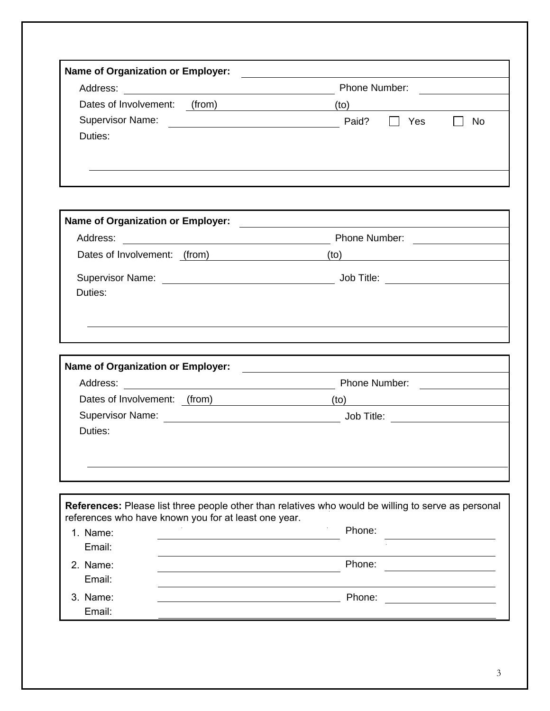| Address:                        | Phone Number:      |
|---------------------------------|--------------------|
| Dates of Involvement:<br>(from) | (to)               |
| <b>Supervisor Name:</b>         | Paid?<br>Yes<br>No |
| Duties:                         |                    |

| Name of Organization or Employer: |                                                                                                                                                                                                                                |
|-----------------------------------|--------------------------------------------------------------------------------------------------------------------------------------------------------------------------------------------------------------------------------|
| Address:                          | Phone Number:                                                                                                                                                                                                                  |
| Dates of Involvement: (from)      | (to)                                                                                                                                                                                                                           |
|                                   | Job Title: The State of the State of the State of the State of the State of the State of the State of the State of the State of the State of the State of the State of the State of the State of the State of the State of the |
| Duties:                           |                                                                                                                                                                                                                                |
|                                   |                                                                                                                                                                                                                                |
|                                   |                                                                                                                                                                                                                                |
|                                   |                                                                                                                                                                                                                                |
| Name of Organization or Employer: |                                                                                                                                                                                                                                |
| Address:                          | Phone Number:                                                                                                                                                                                                                  |
| Dates of Involvement: (from)      | (to)                                                                                                                                                                                                                           |
| <b>Supervisor Name:</b>           | Job Title: <u>_______</u>                                                                                                                                                                                                      |
| Duties:                           |                                                                                                                                                                                                                                |
|                                   |                                                                                                                                                                                                                                |
|                                   |                                                                                                                                                                                                                                |

| <b>References:</b> Please list three people other than relatives who would be willing to serve as personal<br>references who have known you for at least one year. |                     |  |  |  |
|--------------------------------------------------------------------------------------------------------------------------------------------------------------------|---------------------|--|--|--|
| 1. Name:<br>Email:                                                                                                                                                 | $\bullet$<br>Phone: |  |  |  |
| 2. Name:<br>Email:                                                                                                                                                 | Phone:              |  |  |  |
| 3. Name:<br>Email:                                                                                                                                                 | Phone:              |  |  |  |